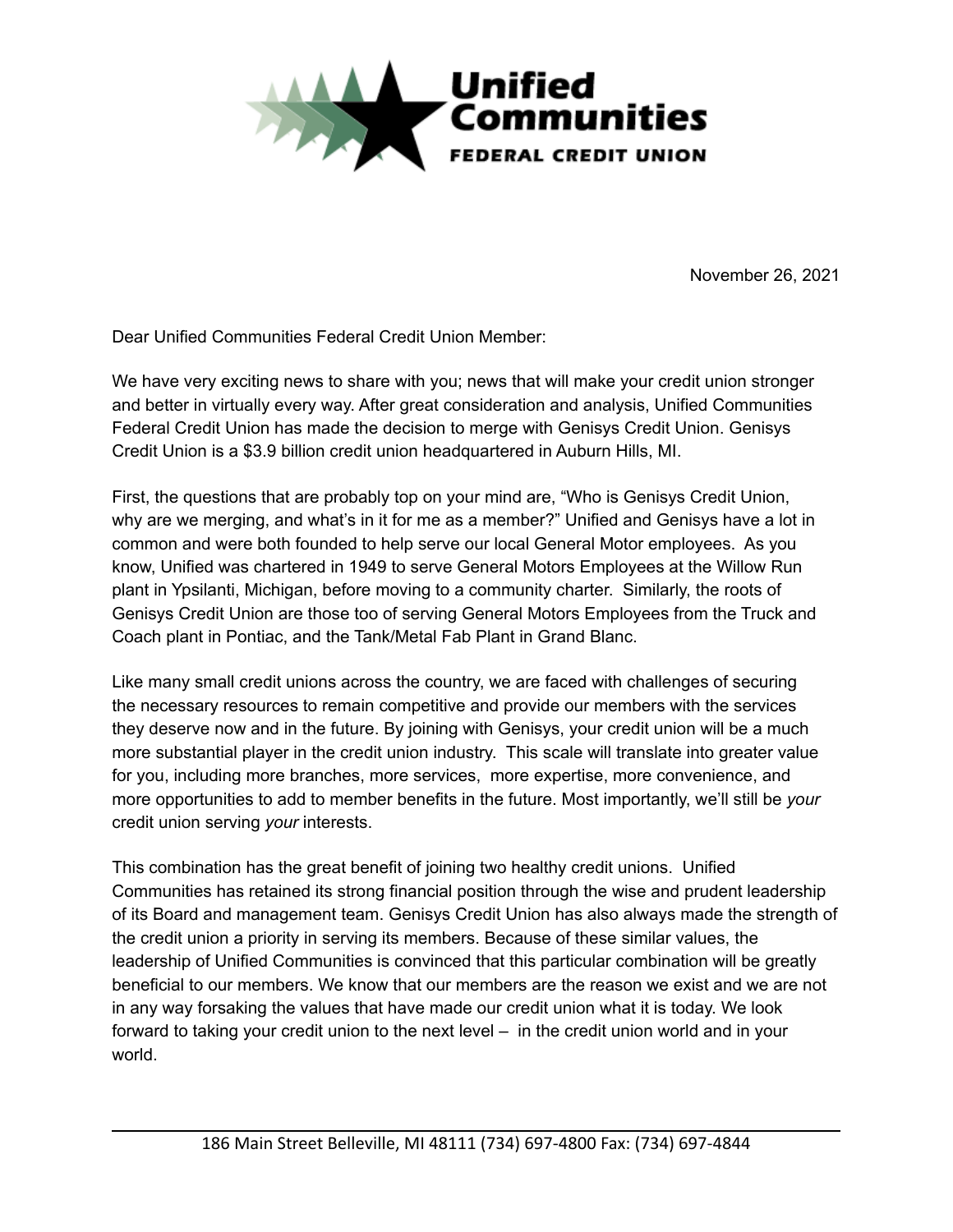

November 26, 2021

Dear Unified Communities Federal Credit Union Member:

We have very exciting news to share with you; news that will make your credit union stronger and better in virtually every way. After great consideration and analysis, Unified Communities Federal Credit Union has made the decision to merge with Genisys Credit Union. Genisys Credit Union is a \$3.9 billion credit union headquartered in Auburn Hills, MI.

First, the questions that are probably top on your mind are, "Who is Genisys Credit Union, why are we merging, and what's in it for me as a member?" Unified and Genisys have a lot in common and were both founded to help serve our local General Motor employees. As you know, Unified was chartered in 1949 to serve General Motors Employees at the Willow Run plant in Ypsilanti, Michigan, before moving to a community charter. Similarly, the roots of Genisys Credit Union are those too of serving General Motors Employees from the Truck and Coach plant in Pontiac, and the Tank/Metal Fab Plant in Grand Blanc.

Like many small credit unions across the country, we are faced with challenges of securing the necessary resources to remain competitive and provide our members with the services they deserve now and in the future. By joining with Genisys, your credit union will be a much more substantial player in the credit union industry. This scale will translate into greater value for you, including more branches, more services, more expertise, more convenience, and more opportunities to add to member benefits in the future. Most importantly, we'll still be *your* credit union serving *your* interests.

This combination has the great benefit of joining two healthy credit unions. Unified Communities has retained its strong financial position through the wise and prudent leadership of its Board and management team. Genisys Credit Union has also always made the strength of the credit union a priority in serving its members. Because of these similar values, the leadership of Unified Communities is convinced that this particular combination will be greatly beneficial to our members. We know that our members are the reason we exist and we are not in any way forsaking the values that have made our credit union what it is today. We look forward to taking your credit union to the next level – in the credit union world and in your world.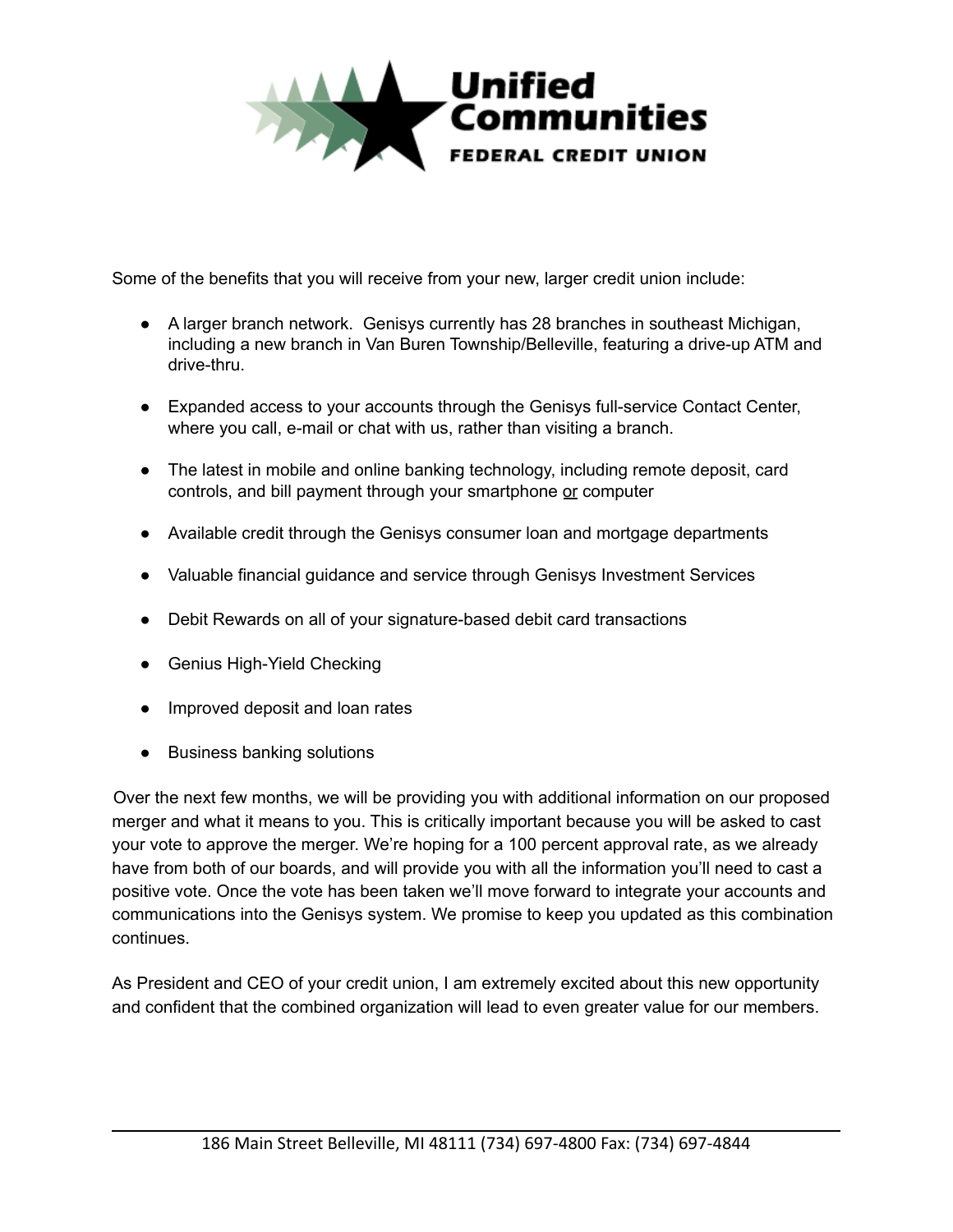

Some of the benefits that you will receive from your new, larger credit union include:

- A larger branch network. Genisys currently has 28 branches in southeast Michigan, including a new branch in Van Buren Township/Belleville, featuring a drive-up ATM and drive-thru.
- Expanded access to your accounts through the Genisys full-service Contact Center, where you call, e-mail or chat with us, rather than visiting a branch.
- The latest in mobile and online banking technology, including remote deposit, card controls, and bill payment through your smartphone or computer
- Available credit through the Genisys consumer loan and mortgage departments
- Valuable financial guidance and service through Genisys Investment Services
- Debit Rewards on all of your signature-based debit card transactions
- Genius High-Yield Checking
- Improved deposit and loan rates
- Business banking solutions

Over the next few months, we will be providing you with additional information on our proposed merger and what it means to you. This is critically important because you will be asked to cast your vote to approve the merger. We're hoping for a 100 percent approval rate, as we already have from both of our boards, and will provide you with all the information you'll need to cast a positive vote. Once the vote has been taken we'll move forward to integrate your accounts and communications into the Genisys system. We promise to keep you updated as this combination continues.

As President and CEO of your credit union, I am extremely excited about this new opportunity and confident that the combined organization will lead to even greater value for our members.